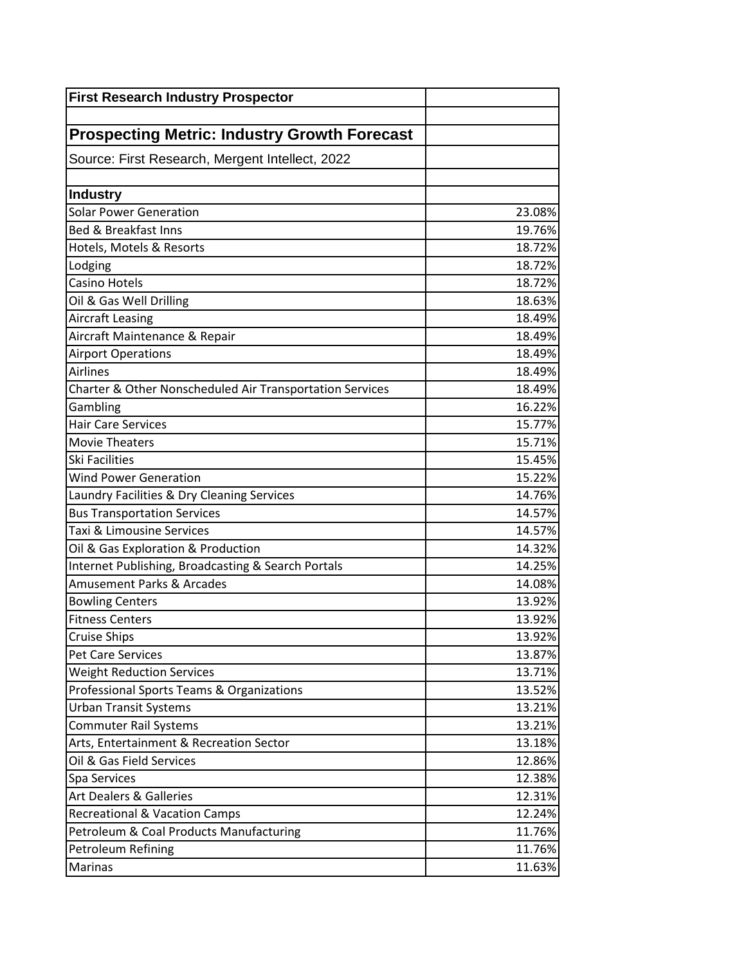| <b>First Research Industry Prospector</b>                |        |
|----------------------------------------------------------|--------|
|                                                          |        |
| <b>Prospecting Metric: Industry Growth Forecast</b>      |        |
| Source: First Research, Mergent Intellect, 2022          |        |
|                                                          |        |
| Industry                                                 |        |
| <b>Solar Power Generation</b>                            | 23.08% |
| <b>Bed &amp; Breakfast Inns</b>                          | 19.76% |
| Hotels, Motels & Resorts                                 | 18.72% |
| Lodging                                                  | 18.72% |
| Casino Hotels                                            | 18.72% |
| Oil & Gas Well Drilling                                  | 18.63% |
| Aircraft Leasing                                         | 18.49% |
| Aircraft Maintenance & Repair                            | 18.49% |
| <b>Airport Operations</b>                                | 18.49% |
| <b>Airlines</b>                                          | 18.49% |
| Charter & Other Nonscheduled Air Transportation Services | 18.49% |
| Gambling                                                 | 16.22% |
| <b>Hair Care Services</b>                                | 15.77% |
| Movie Theaters                                           | 15.71% |
| <b>Ski Facilities</b>                                    | 15.45% |
| <b>Wind Power Generation</b>                             | 15.22% |
| Laundry Facilities & Dry Cleaning Services               | 14.76% |
| <b>Bus Transportation Services</b>                       | 14.57% |
| <b>Taxi &amp; Limousine Services</b>                     | 14.57% |
| Oil & Gas Exploration & Production                       | 14.32% |
| Internet Publishing, Broadcasting & Search Portals       | 14.25% |
| Amusement Parks & Arcades                                | 14.08% |
| <b>Bowling Centers</b>                                   | 13.92% |
| <b>Fitness Centers</b>                                   | 13.92% |
| <b>Cruise Ships</b>                                      | 13.92% |
| Pet Care Services                                        | 13.87% |
| <b>Weight Reduction Services</b>                         | 13.71% |
| Professional Sports Teams & Organizations                | 13.52% |
| <b>Urban Transit Systems</b>                             | 13.21% |
| Commuter Rail Systems                                    | 13.21% |
| Arts, Entertainment & Recreation Sector                  | 13.18% |
| Oil & Gas Field Services                                 | 12.86% |
| Spa Services                                             | 12.38% |
| <b>Art Dealers &amp; Galleries</b>                       | 12.31% |
| <b>Recreational &amp; Vacation Camps</b>                 | 12.24% |
| Petroleum & Coal Products Manufacturing                  | 11.76% |
| Petroleum Refining                                       | 11.76% |
| <b>Marinas</b>                                           | 11.63% |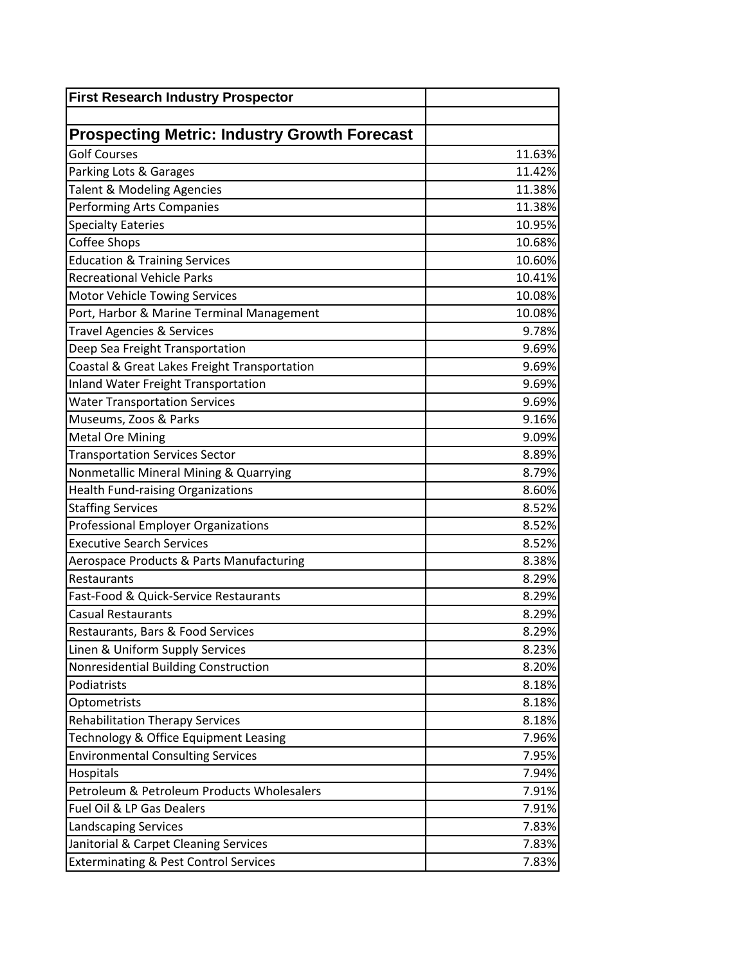| <b>First Research Industry Prospector</b>           |        |
|-----------------------------------------------------|--------|
|                                                     |        |
| <b>Prospecting Metric: Industry Growth Forecast</b> |        |
| <b>Golf Courses</b>                                 | 11.63% |
| Parking Lots & Garages                              | 11.42% |
| <b>Talent &amp; Modeling Agencies</b>               | 11.38% |
| Performing Arts Companies                           | 11.38% |
| <b>Specialty Eateries</b>                           | 10.95% |
| Coffee Shops                                        | 10.68% |
| <b>Education &amp; Training Services</b>            | 10.60% |
| <b>Recreational Vehicle Parks</b>                   | 10.41% |
| <b>Motor Vehicle Towing Services</b>                | 10.08% |
| Port, Harbor & Marine Terminal Management           | 10.08% |
| <b>Travel Agencies &amp; Services</b>               | 9.78%  |
| Deep Sea Freight Transportation                     | 9.69%  |
| Coastal & Great Lakes Freight Transportation        | 9.69%  |
| <b>Inland Water Freight Transportation</b>          | 9.69%  |
| <b>Water Transportation Services</b>                | 9.69%  |
| Museums, Zoos & Parks                               | 9.16%  |
| <b>Metal Ore Mining</b>                             | 9.09%  |
| <b>Transportation Services Sector</b>               | 8.89%  |
| Nonmetallic Mineral Mining & Quarrying              | 8.79%  |
| <b>Health Fund-raising Organizations</b>            | 8.60%  |
| <b>Staffing Services</b>                            | 8.52%  |
| <b>Professional Employer Organizations</b>          | 8.52%  |
| <b>Executive Search Services</b>                    | 8.52%  |
| <b>Aerospace Products &amp; Parts Manufacturing</b> | 8.38%  |
| Restaurants                                         | 8.29%  |
| Fast-Food & Quick-Service Restaurants               | 8.29%  |
| <b>Casual Restaurants</b>                           | 8.29%  |
| Restaurants, Bars & Food Services                   | 8.29%  |
| Linen & Uniform Supply Services                     | 8.23%  |
| Nonresidential Building Construction                | 8.20%  |
| Podiatrists                                         | 8.18%  |
| Optometrists                                        | 8.18%  |
| <b>Rehabilitation Therapy Services</b>              | 8.18%  |
| Technology & Office Equipment Leasing               | 7.96%  |
| <b>Environmental Consulting Services</b>            | 7.95%  |
| Hospitals                                           | 7.94%  |
| Petroleum & Petroleum Products Wholesalers          | 7.91%  |
| Fuel Oil & LP Gas Dealers                           | 7.91%  |
| Landscaping Services                                | 7.83%  |
| Janitorial & Carpet Cleaning Services               | 7.83%  |
| <b>Exterminating &amp; Pest Control Services</b>    | 7.83%  |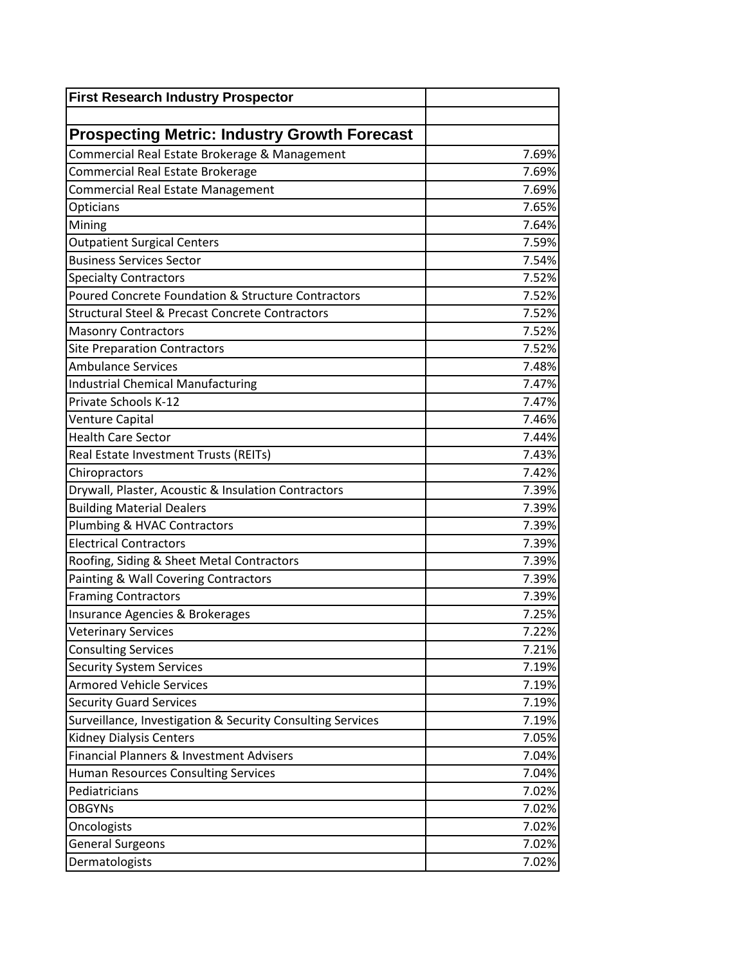| <b>First Research Industry Prospector</b>                  |       |
|------------------------------------------------------------|-------|
|                                                            |       |
| <b>Prospecting Metric: Industry Growth Forecast</b>        |       |
| Commercial Real Estate Brokerage & Management              | 7.69% |
| Commercial Real Estate Brokerage                           | 7.69% |
| <b>Commercial Real Estate Management</b>                   | 7.69% |
| Opticians                                                  | 7.65% |
| Mining                                                     | 7.64% |
| <b>Outpatient Surgical Centers</b>                         | 7.59% |
| <b>Business Services Sector</b>                            | 7.54% |
| <b>Specialty Contractors</b>                               | 7.52% |
| Poured Concrete Foundation & Structure Contractors         | 7.52% |
| <b>Structural Steel &amp; Precast Concrete Contractors</b> | 7.52% |
| <b>Masonry Contractors</b>                                 | 7.52% |
| <b>Site Preparation Contractors</b>                        | 7.52% |
| <b>Ambulance Services</b>                                  | 7.48% |
| Industrial Chemical Manufacturing                          | 7.47% |
| Private Schools K-12                                       | 7.47% |
| Venture Capital                                            | 7.46% |
| <b>Health Care Sector</b>                                  | 7.44% |
| Real Estate Investment Trusts (REITs)                      | 7.43% |
| Chiropractors                                              | 7.42% |
| Drywall, Plaster, Acoustic & Insulation Contractors        | 7.39% |
| <b>Building Material Dealers</b>                           | 7.39% |
| Plumbing & HVAC Contractors                                | 7.39% |
| <b>Electrical Contractors</b>                              | 7.39% |
| Roofing, Siding & Sheet Metal Contractors                  | 7.39% |
| Painting & Wall Covering Contractors                       | 7.39% |
| <b>Framing Contractors</b>                                 | 7.39% |
| Insurance Agencies & Brokerages                            | 7.25% |
| <b>Veterinary Services</b>                                 | 7.22% |
| <b>Consulting Services</b>                                 | 7.21% |
| <b>Security System Services</b>                            | 7.19% |
| <b>Armored Vehicle Services</b>                            | 7.19% |
| <b>Security Guard Services</b>                             | 7.19% |
| Surveillance, Investigation & Security Consulting Services | 7.19% |
| <b>Kidney Dialysis Centers</b>                             | 7.05% |
| Financial Planners & Investment Advisers                   | 7.04% |
| <b>Human Resources Consulting Services</b>                 | 7.04% |
| Pediatricians                                              | 7.02% |
| <b>OBGYNs</b>                                              | 7.02% |
| Oncologists                                                | 7.02% |
| <b>General Surgeons</b>                                    | 7.02% |
| Dermatologists                                             | 7.02% |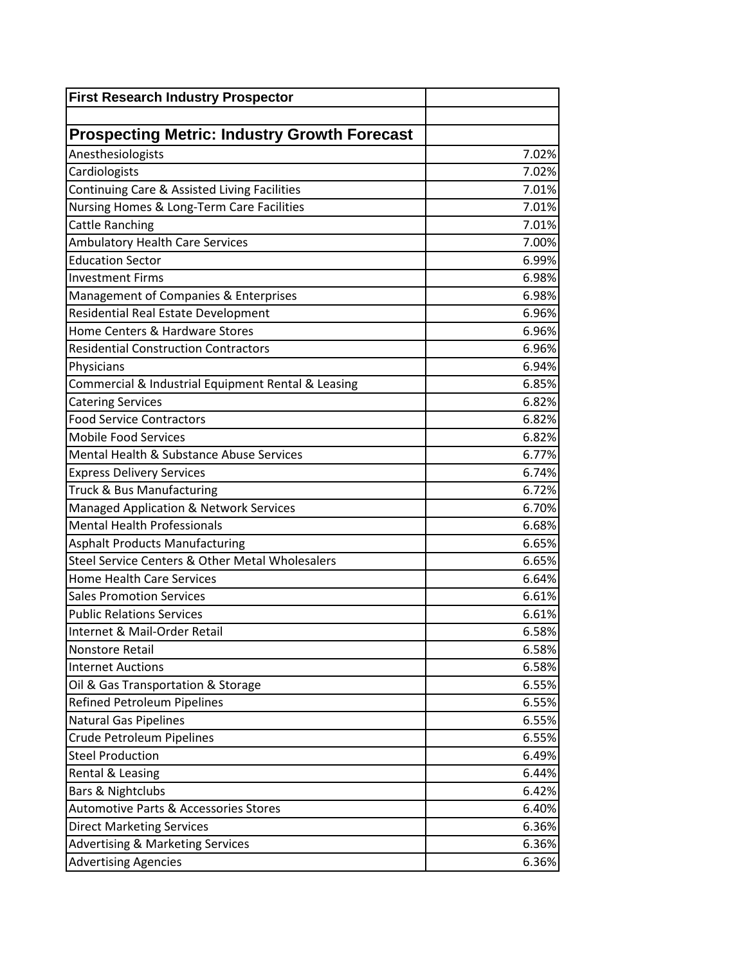| <b>First Research Industry Prospector</b>           |       |
|-----------------------------------------------------|-------|
|                                                     |       |
| <b>Prospecting Metric: Industry Growth Forecast</b> |       |
| Anesthesiologists                                   | 7.02% |
| Cardiologists                                       | 7.02% |
| Continuing Care & Assisted Living Facilities        | 7.01% |
| Nursing Homes & Long-Term Care Facilities           | 7.01% |
| <b>Cattle Ranching</b>                              | 7.01% |
| <b>Ambulatory Health Care Services</b>              | 7.00% |
| <b>Education Sector</b>                             | 6.99% |
| <b>Investment Firms</b>                             | 6.98% |
| Management of Companies & Enterprises               | 6.98% |
| Residential Real Estate Development                 | 6.96% |
| Home Centers & Hardware Stores                      | 6.96% |
| <b>Residential Construction Contractors</b>         | 6.96% |
| Physicians                                          | 6.94% |
| Commercial & Industrial Equipment Rental & Leasing  | 6.85% |
| <b>Catering Services</b>                            | 6.82% |
| <b>Food Service Contractors</b>                     | 6.82% |
| <b>Mobile Food Services</b>                         | 6.82% |
| Mental Health & Substance Abuse Services            | 6.77% |
| <b>Express Delivery Services</b>                    | 6.74% |
| Truck & Bus Manufacturing                           | 6.72% |
| <b>Managed Application &amp; Network Services</b>   | 6.70% |
| <b>Mental Health Professionals</b>                  | 6.68% |
| <b>Asphalt Products Manufacturing</b>               | 6.65% |
| Steel Service Centers & Other Metal Wholesalers     | 6.65% |
| <b>Home Health Care Services</b>                    | 6.64% |
| <b>Sales Promotion Services</b>                     | 6.61% |
| <b>Public Relations Services</b>                    | 6.61% |
| Internet & Mail-Order Retail                        | 6.58% |
| Nonstore Retail                                     | 6.58% |
| <b>Internet Auctions</b>                            | 6.58% |
| Oil & Gas Transportation & Storage                  | 6.55% |
| <b>Refined Petroleum Pipelines</b>                  | 6.55% |
| <b>Natural Gas Pipelines</b>                        | 6.55% |
| Crude Petroleum Pipelines                           | 6.55% |
| <b>Steel Production</b>                             | 6.49% |
| Rental & Leasing                                    | 6.44% |
| <b>Bars &amp; Nightclubs</b>                        | 6.42% |
| <b>Automotive Parts &amp; Accessories Stores</b>    | 6.40% |
| <b>Direct Marketing Services</b>                    | 6.36% |
| <b>Advertising &amp; Marketing Services</b>         | 6.36% |
| <b>Advertising Agencies</b>                         | 6.36% |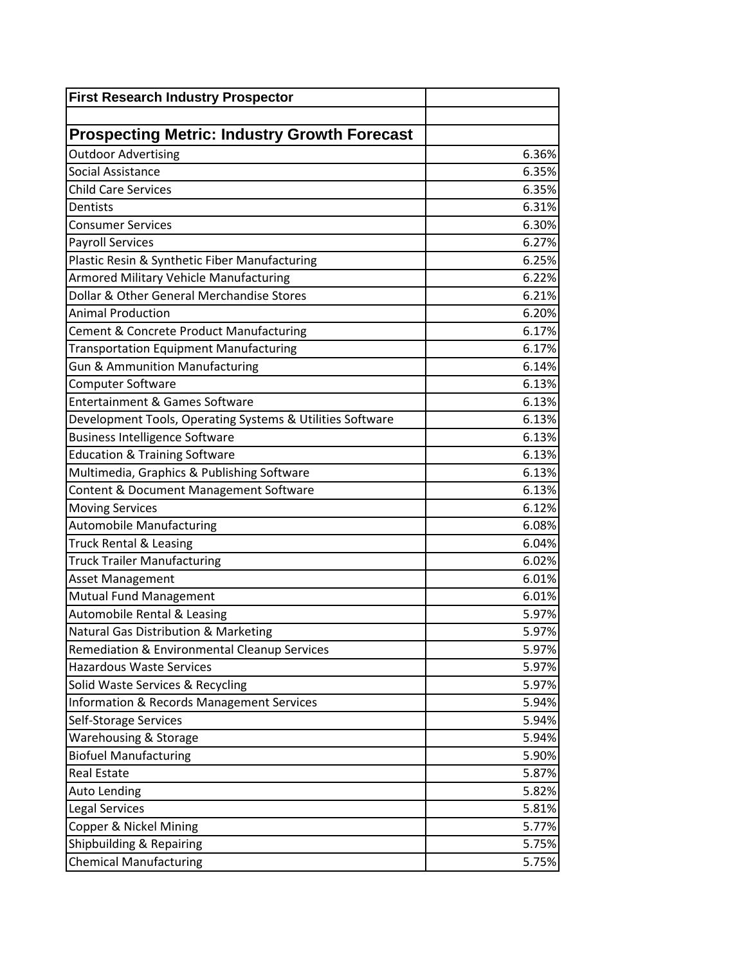| <b>First Research Industry Prospector</b>                 |       |
|-----------------------------------------------------------|-------|
|                                                           |       |
| <b>Prospecting Metric: Industry Growth Forecast</b>       |       |
| <b>Outdoor Advertising</b>                                | 6.36% |
| Social Assistance                                         | 6.35% |
| <b>Child Care Services</b>                                | 6.35% |
| Dentists                                                  | 6.31% |
| <b>Consumer Services</b>                                  | 6.30% |
| <b>Payroll Services</b>                                   | 6.27% |
| Plastic Resin & Synthetic Fiber Manufacturing             | 6.25% |
| <b>Armored Military Vehicle Manufacturing</b>             | 6.22% |
| Dollar & Other General Merchandise Stores                 | 6.21% |
| <b>Animal Production</b>                                  | 6.20% |
| Cement & Concrete Product Manufacturing                   | 6.17% |
| <b>Transportation Equipment Manufacturing</b>             | 6.17% |
| <b>Gun &amp; Ammunition Manufacturing</b>                 | 6.14% |
| Computer Software                                         | 6.13% |
| <b>Entertainment &amp; Games Software</b>                 | 6.13% |
| Development Tools, Operating Systems & Utilities Software | 6.13% |
| <b>Business Intelligence Software</b>                     | 6.13% |
| <b>Education &amp; Training Software</b>                  | 6.13% |
| Multimedia, Graphics & Publishing Software                | 6.13% |
| Content & Document Management Software                    | 6.13% |
| <b>Moving Services</b>                                    | 6.12% |
| <b>Automobile Manufacturing</b>                           | 6.08% |
| <b>Truck Rental &amp; Leasing</b>                         | 6.04% |
| <b>Truck Trailer Manufacturing</b>                        | 6.02% |
| <b>Asset Management</b>                                   | 6.01% |
| Mutual Fund Management                                    | 6.01% |
| Automobile Rental & Leasing                               | 5.97% |
| Natural Gas Distribution & Marketing                      | 5.97% |
| Remediation & Environmental Cleanup Services              | 5.97% |
| <b>Hazardous Waste Services</b>                           | 5.97% |
| Solid Waste Services & Recycling                          | 5.97% |
| Information & Records Management Services                 | 5.94% |
| Self-Storage Services                                     | 5.94% |
| <b>Warehousing &amp; Storage</b>                          | 5.94% |
| <b>Biofuel Manufacturing</b>                              | 5.90% |
| <b>Real Estate</b>                                        | 5.87% |
| <b>Auto Lending</b>                                       | 5.82% |
| Legal Services                                            | 5.81% |
| Copper & Nickel Mining                                    | 5.77% |
| Shipbuilding & Repairing                                  | 5.75% |
| <b>Chemical Manufacturing</b>                             | 5.75% |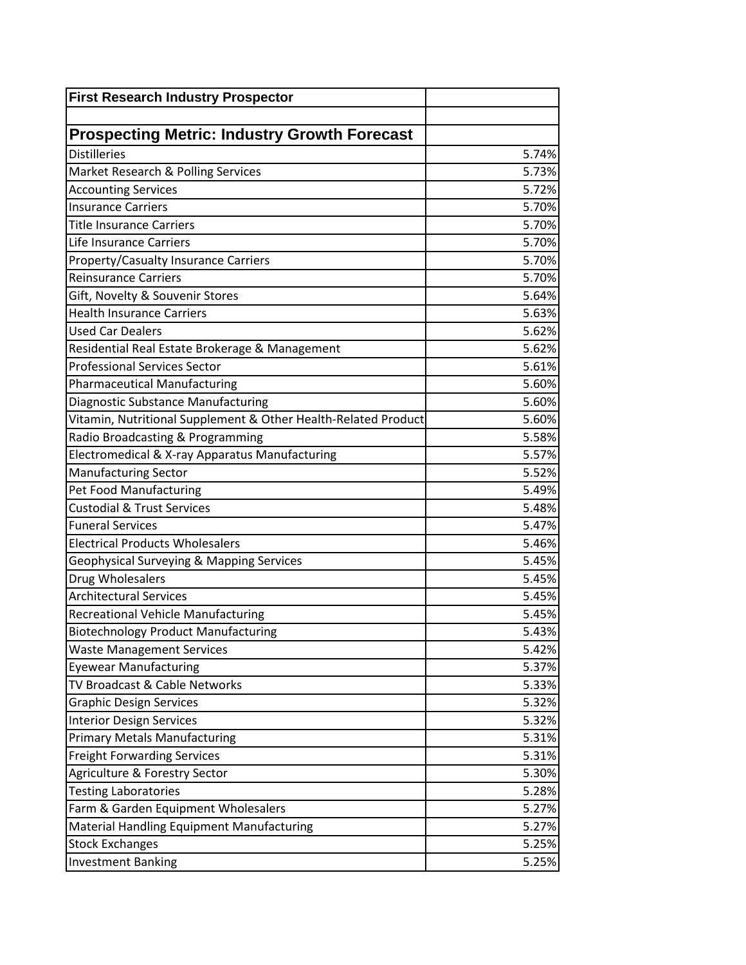| <b>First Research Industry Prospector</b>                      |       |
|----------------------------------------------------------------|-------|
|                                                                |       |
| <b>Prospecting Metric: Industry Growth Forecast</b>            |       |
| <b>Distilleries</b>                                            | 5.74% |
| Market Research & Polling Services                             | 5.73% |
| <b>Accounting Services</b>                                     | 5.72% |
| <b>Insurance Carriers</b>                                      | 5.70% |
| <b>Title Insurance Carriers</b>                                | 5.70% |
| Life Insurance Carriers                                        | 5.70% |
| Property/Casualty Insurance Carriers                           | 5.70% |
| <b>Reinsurance Carriers</b>                                    | 5.70% |
| Gift, Novelty & Souvenir Stores                                | 5.64% |
| <b>Health Insurance Carriers</b>                               | 5.63% |
| <b>Used Car Dealers</b>                                        | 5.62% |
| Residential Real Estate Brokerage & Management                 | 5.62% |
| <b>Professional Services Sector</b>                            | 5.61% |
| <b>Pharmaceutical Manufacturing</b>                            | 5.60% |
| Diagnostic Substance Manufacturing                             | 5.60% |
| Vitamin, Nutritional Supplement & Other Health-Related Product | 5.60% |
| Radio Broadcasting & Programming                               | 5.58% |
| Electromedical & X-ray Apparatus Manufacturing                 | 5.57% |
| Manufacturing Sector                                           | 5.52% |
| Pet Food Manufacturing                                         | 5.49% |
| <b>Custodial &amp; Trust Services</b>                          | 5.48% |
| <b>Funeral Services</b>                                        | 5.47% |
| <b>Electrical Products Wholesalers</b>                         | 5.46% |
| Geophysical Surveying & Mapping Services                       | 5.45% |
| Drug Wholesalers                                               | 5.45% |
| <b>Architectural Services</b>                                  | 5.45% |
| <b>Recreational Vehicle Manufacturing</b>                      | 5.45% |
| <b>Biotechnology Product Manufacturing</b>                     | 5.43% |
| <b>Waste Management Services</b>                               | 5.42% |
| <b>Eyewear Manufacturing</b>                                   | 5.37% |
| TV Broadcast & Cable Networks                                  | 5.33% |
| <b>Graphic Design Services</b>                                 | 5.32% |
| <b>Interior Design Services</b>                                | 5.32% |
| <b>Primary Metals Manufacturing</b>                            | 5.31% |
| <b>Freight Forwarding Services</b>                             | 5.31% |
| Agriculture & Forestry Sector                                  | 5.30% |
| <b>Testing Laboratories</b>                                    | 5.28% |
| Farm & Garden Equipment Wholesalers                            | 5.27% |
| Material Handling Equipment Manufacturing                      | 5.27% |
| <b>Stock Exchanges</b>                                         | 5.25% |
| <b>Investment Banking</b>                                      | 5.25% |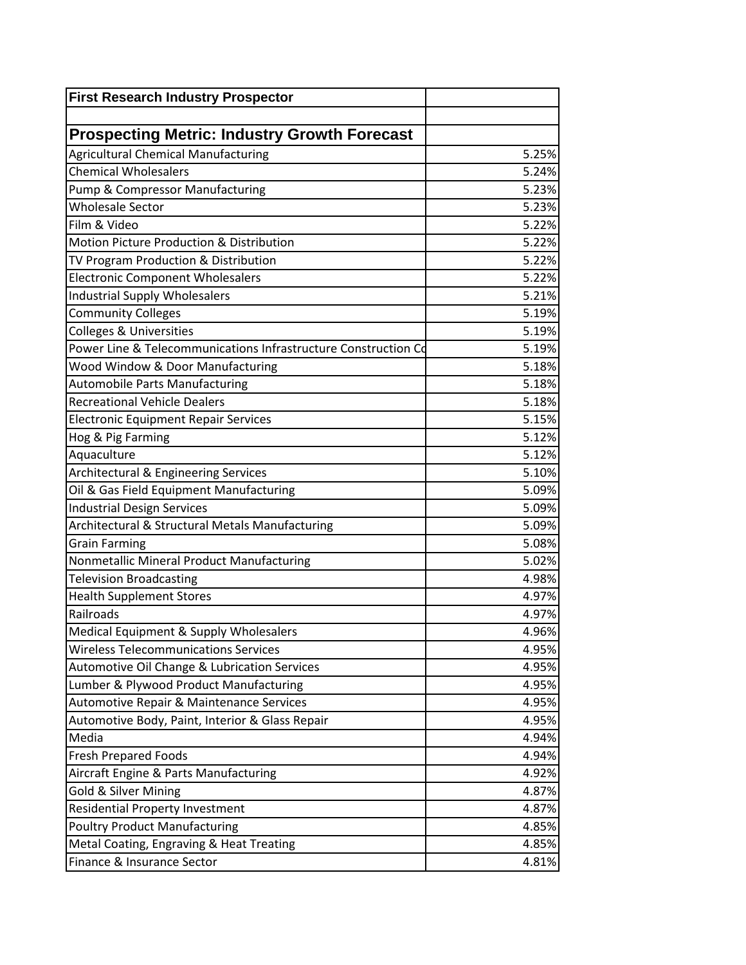| 5.25% |
|-------|
| 5.24% |
| 5.23% |
| 5.23% |
| 5.22% |
| 5.22% |
| 5.22% |
| 5.22% |
| 5.21% |
| 5.19% |
| 5.19% |
| 5.19% |
| 5.18% |
| 5.18% |
| 5.18% |
| 5.15% |
| 5.12% |
| 5.12% |
| 5.10% |
| 5.09% |
| 5.09% |
| 5.09% |
| 5.08% |
| 5.02% |
| 4.98% |
| 4.97% |
| 4.97% |
| 4.96% |
| 4.95% |
| 4.95% |
| 4.95% |
| 4.95% |
| 4.95% |
| 4.94% |
| 4.94% |
| 4.92% |
| 4.87% |
| 4.87% |
| 4.85% |
| 4.85% |
|       |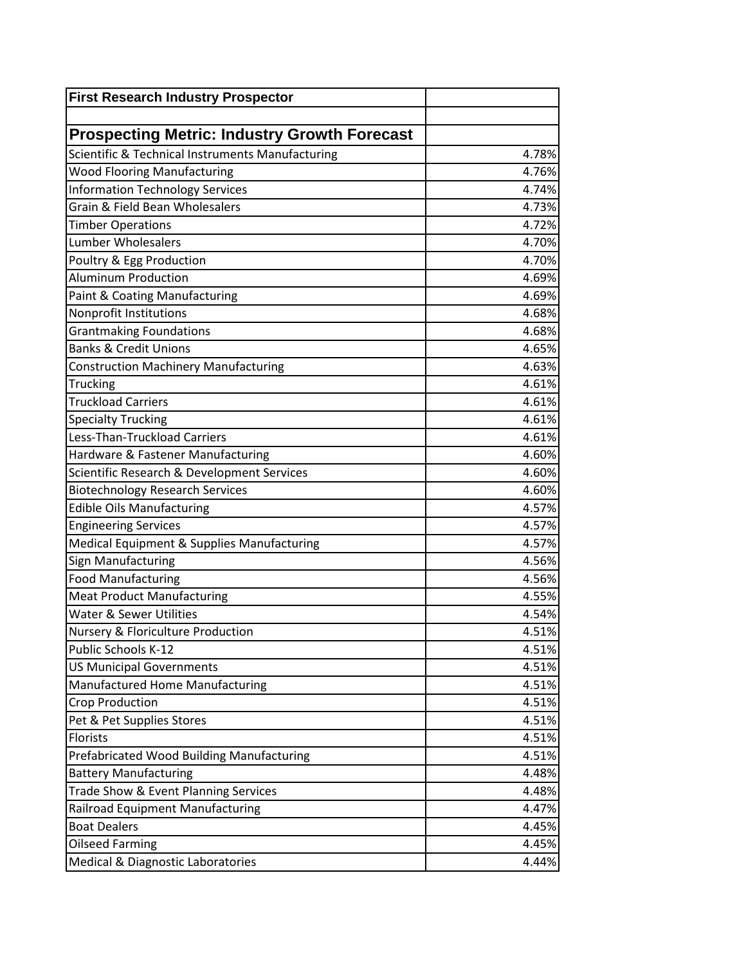| <b>First Research Industry Prospector</b>                                              |       |
|----------------------------------------------------------------------------------------|-------|
|                                                                                        |       |
| <b>Prospecting Metric: Industry Growth Forecast</b>                                    | 4.78% |
| Scientific & Technical Instruments Manufacturing<br><b>Wood Flooring Manufacturing</b> | 4.76% |
|                                                                                        |       |
| <b>Information Technology Services</b><br><b>Grain &amp; Field Bean Wholesalers</b>    | 4.74% |
|                                                                                        | 4.73% |
| <b>Timber Operations</b>                                                               | 4.72% |
| <b>Lumber Wholesalers</b>                                                              | 4.70% |
| Poultry & Egg Production                                                               | 4.70% |
| <b>Aluminum Production</b>                                                             | 4.69% |
| Paint & Coating Manufacturing                                                          | 4.69% |
| Nonprofit Institutions                                                                 | 4.68% |
| <b>Grantmaking Foundations</b>                                                         | 4.68% |
| <b>Banks &amp; Credit Unions</b>                                                       | 4.65% |
| <b>Construction Machinery Manufacturing</b>                                            | 4.63% |
| Trucking                                                                               | 4.61% |
| <b>Truckload Carriers</b>                                                              | 4.61% |
| <b>Specialty Trucking</b>                                                              | 4.61% |
| Less-Than-Truckload Carriers                                                           | 4.61% |
| Hardware & Fastener Manufacturing                                                      | 4.60% |
| Scientific Research & Development Services                                             | 4.60% |
| <b>Biotechnology Research Services</b>                                                 | 4.60% |
| <b>Edible Oils Manufacturing</b>                                                       | 4.57% |
| <b>Engineering Services</b>                                                            | 4.57% |
| Medical Equipment & Supplies Manufacturing                                             | 4.57% |
| Sign Manufacturing                                                                     | 4.56% |
| <b>Food Manufacturing</b>                                                              | 4.56% |
| <b>Meat Product Manufacturing</b>                                                      | 4.55% |
| <b>Water &amp; Sewer Utilities</b>                                                     | 4.54% |
| <b>Nursery &amp; Floriculture Production</b>                                           | 4.51% |
| Public Schools K-12                                                                    | 4.51% |
| <b>US Municipal Governments</b>                                                        | 4.51% |
| Manufactured Home Manufacturing                                                        | 4.51% |
| <b>Crop Production</b>                                                                 | 4.51% |
| Pet & Pet Supplies Stores                                                              | 4.51% |
| Florists                                                                               | 4.51% |
| Prefabricated Wood Building Manufacturing                                              | 4.51% |
| <b>Battery Manufacturing</b>                                                           | 4.48% |
| Trade Show & Event Planning Services                                                   | 4.48% |
| Railroad Equipment Manufacturing                                                       | 4.47% |
| <b>Boat Dealers</b>                                                                    | 4.45% |
| <b>Oilseed Farming</b>                                                                 | 4.45% |
| <b>Medical &amp; Diagnostic Laboratories</b>                                           | 4.44% |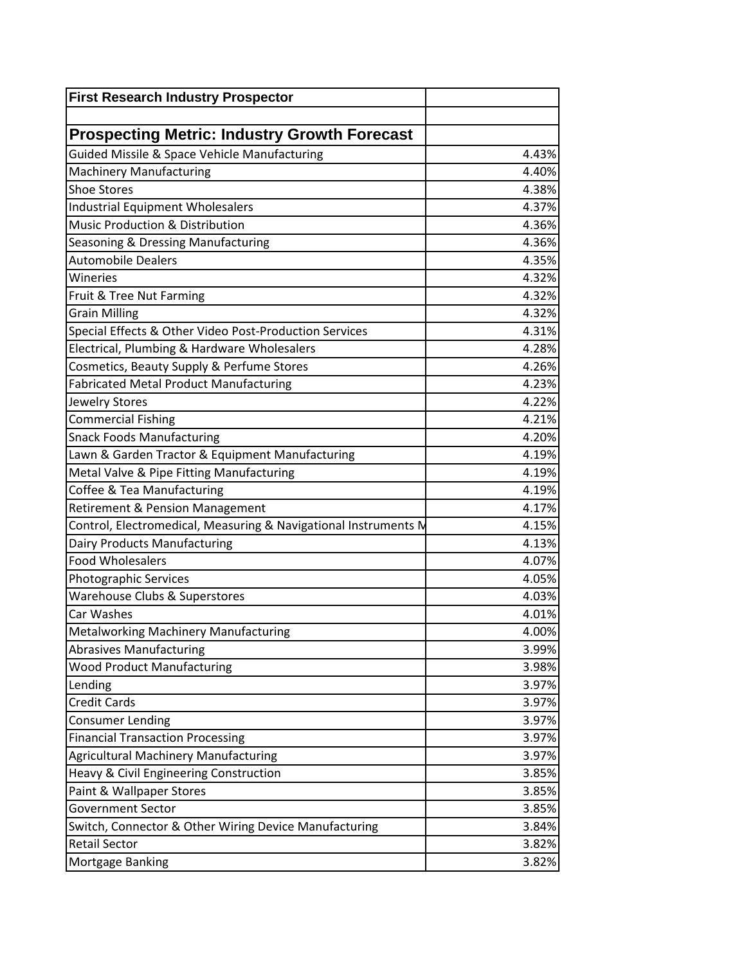| <b>First Research Industry Prospector</b>                       |       |
|-----------------------------------------------------------------|-------|
|                                                                 |       |
| <b>Prospecting Metric: Industry Growth Forecast</b>             |       |
| <b>Guided Missile &amp; Space Vehicle Manufacturing</b>         | 4.43% |
| <b>Machinery Manufacturing</b>                                  | 4.40% |
| <b>Shoe Stores</b>                                              | 4.38% |
| <b>Industrial Equipment Wholesalers</b>                         | 4.37% |
| Music Production & Distribution                                 | 4.36% |
| Seasoning & Dressing Manufacturing                              | 4.36% |
| <b>Automobile Dealers</b>                                       | 4.35% |
| Wineries                                                        | 4.32% |
| Fruit & Tree Nut Farming                                        | 4.32% |
| <b>Grain Milling</b>                                            | 4.32% |
| Special Effects & Other Video Post-Production Services          | 4.31% |
| Electrical, Plumbing & Hardware Wholesalers                     | 4.28% |
| Cosmetics, Beauty Supply & Perfume Stores                       | 4.26% |
| <b>Fabricated Metal Product Manufacturing</b>                   | 4.23% |
| Jewelry Stores                                                  | 4.22% |
| <b>Commercial Fishing</b>                                       | 4.21% |
| <b>Snack Foods Manufacturing</b>                                | 4.20% |
| Lawn & Garden Tractor & Equipment Manufacturing                 | 4.19% |
| Metal Valve & Pipe Fitting Manufacturing                        | 4.19% |
| Coffee & Tea Manufacturing                                      | 4.19% |
| Retirement & Pension Management                                 | 4.17% |
| Control, Electromedical, Measuring & Navigational Instruments M | 4.15% |
| Dairy Products Manufacturing                                    | 4.13% |
| <b>Food Wholesalers</b>                                         | 4.07% |
| Photographic Services                                           | 4.05% |
| Warehouse Clubs & Superstores                                   | 4.03% |
| Car Washes                                                      | 4.01% |
| Metalworking Machinery Manufacturing                            | 4.00% |
| <b>Abrasives Manufacturing</b>                                  | 3.99% |
| <b>Wood Product Manufacturing</b>                               | 3.98% |
| Lending                                                         | 3.97% |
| <b>Credit Cards</b>                                             | 3.97% |
| <b>Consumer Lending</b>                                         | 3.97% |
| <b>Financial Transaction Processing</b>                         | 3.97% |
| <b>Agricultural Machinery Manufacturing</b>                     | 3.97% |
| Heavy & Civil Engineering Construction                          | 3.85% |
| Paint & Wallpaper Stores                                        | 3.85% |
| <b>Government Sector</b>                                        | 3.85% |
| Switch, Connector & Other Wiring Device Manufacturing           | 3.84% |
| <b>Retail Sector</b>                                            | 3.82% |
| Mortgage Banking                                                | 3.82% |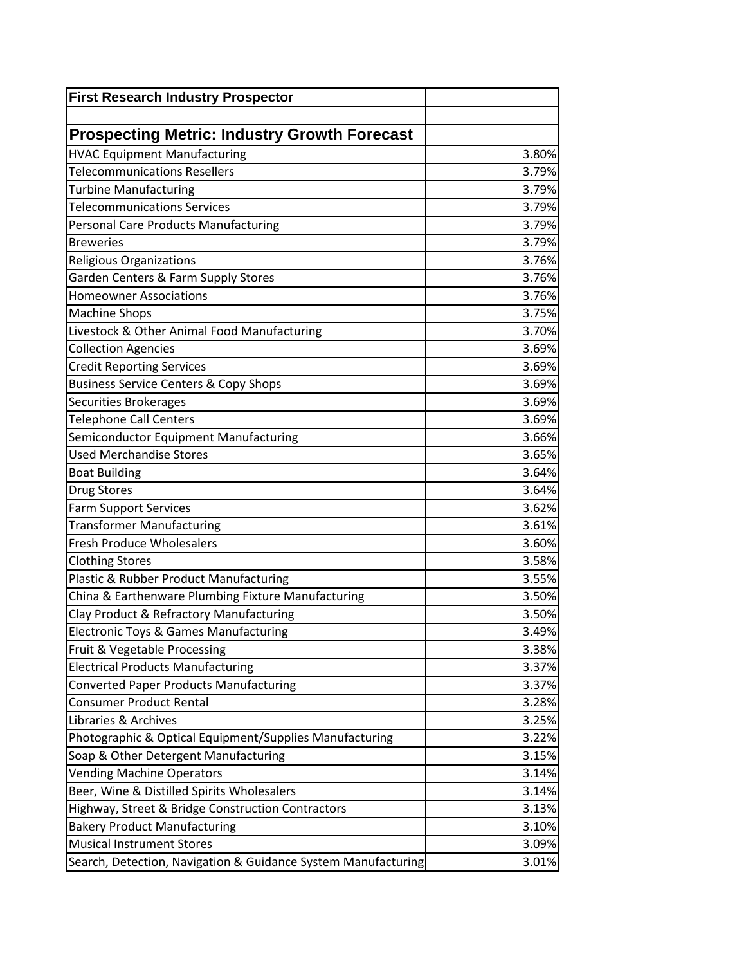| <b>Prospecting Metric: Industry Growth Forecast</b>           |       |
|---------------------------------------------------------------|-------|
| <b>HVAC Equipment Manufacturing</b>                           | 3.80% |
| <b>Telecommunications Resellers</b>                           | 3.79% |
| <b>Turbine Manufacturing</b>                                  | 3.79% |
| <b>Telecommunications Services</b>                            | 3.79% |
| <b>Personal Care Products Manufacturing</b>                   | 3.79% |
| <b>Breweries</b>                                              | 3.79% |
| Religious Organizations                                       | 3.76% |
| Garden Centers & Farm Supply Stores                           | 3.76% |
| <b>Homeowner Associations</b>                                 | 3.76% |
| <b>Machine Shops</b>                                          | 3.75% |
| Livestock & Other Animal Food Manufacturing                   | 3.70% |
| <b>Collection Agencies</b>                                    | 3.69% |
| Credit Reporting Services                                     | 3.69% |
| <b>Business Service Centers &amp; Copy Shops</b>              | 3.69% |
| Securities Brokerages                                         | 3.69% |
| <b>Telephone Call Centers</b>                                 | 3.69% |
| Semiconductor Equipment Manufacturing                         | 3.66% |
| <b>Used Merchandise Stores</b>                                | 3.65% |
| <b>Boat Building</b>                                          | 3.64% |
| <b>Drug Stores</b>                                            | 3.64% |
| <b>Farm Support Services</b>                                  | 3.62% |
| <b>Transformer Manufacturing</b>                              | 3.61% |
| <b>Fresh Produce Wholesalers</b>                              | 3.60% |
| <b>Clothing Stores</b>                                        | 3.58% |
| Plastic & Rubber Product Manufacturing                        | 3.55% |
| China & Earthenware Plumbing Fixture Manufacturing            | 3.50% |
| Clay Product & Refractory Manufacturing                       | 3.50% |
| Electronic Toys & Games Manufacturing                         | 3.49% |
| Fruit & Vegetable Processing                                  | 3.38% |
| <b>Electrical Products Manufacturing</b>                      | 3.37% |
| <b>Converted Paper Products Manufacturing</b>                 | 3.37% |
| <b>Consumer Product Rental</b>                                | 3.28% |
| Libraries & Archives                                          | 3.25% |
| Photographic & Optical Equipment/Supplies Manufacturing       | 3.22% |
| Soap & Other Detergent Manufacturing                          | 3.15% |
| <b>Vending Machine Operators</b>                              | 3.14% |
| Beer, Wine & Distilled Spirits Wholesalers                    | 3.14% |
| Highway, Street & Bridge Construction Contractors             | 3.13% |
| <b>Bakery Product Manufacturing</b>                           | 3.10% |
| <b>Musical Instrument Stores</b>                              | 3.09% |
| Search, Detection, Navigation & Guidance System Manufacturing | 3.01% |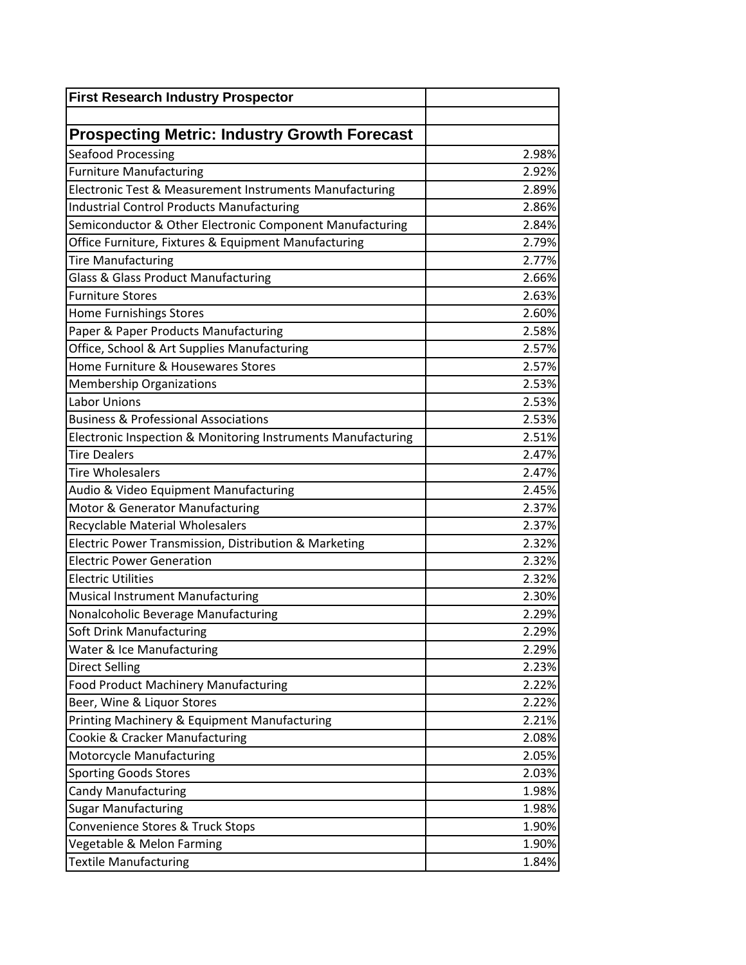| <b>First Research Industry Prospector</b>                    |       |
|--------------------------------------------------------------|-------|
|                                                              |       |
| <b>Prospecting Metric: Industry Growth Forecast</b>          |       |
| Seafood Processing                                           | 2.98% |
| <b>Furniture Manufacturing</b>                               | 2.92% |
| Electronic Test & Measurement Instruments Manufacturing      | 2.89% |
| <b>Industrial Control Products Manufacturing</b>             | 2.86% |
| Semiconductor & Other Electronic Component Manufacturing     | 2.84% |
| Office Furniture, Fixtures & Equipment Manufacturing         | 2.79% |
| <b>Tire Manufacturing</b>                                    | 2.77% |
| <b>Glass &amp; Glass Product Manufacturing</b>               | 2.66% |
| <b>Furniture Stores</b>                                      | 2.63% |
| <b>Home Furnishings Stores</b>                               | 2.60% |
| Paper & Paper Products Manufacturing                         | 2.58% |
| Office, School & Art Supplies Manufacturing                  | 2.57% |
| Home Furniture & Housewares Stores                           | 2.57% |
| <b>Membership Organizations</b>                              | 2.53% |
| <b>Labor Unions</b>                                          | 2.53% |
| <b>Business &amp; Professional Associations</b>              | 2.53% |
| Electronic Inspection & Monitoring Instruments Manufacturing | 2.51% |
| <b>Tire Dealers</b>                                          | 2.47% |
| <b>Tire Wholesalers</b>                                      | 2.47% |
| Audio & Video Equipment Manufacturing                        | 2.45% |
| Motor & Generator Manufacturing                              | 2.37% |
| <b>Recyclable Material Wholesalers</b>                       | 2.37% |
| Electric Power Transmission, Distribution & Marketing        | 2.32% |
| <b>Electric Power Generation</b>                             | 2.32% |
| <b>Electric Utilities</b>                                    | 2.32% |
| <b>Musical Instrument Manufacturing</b>                      | 2.30% |
| Nonalcoholic Beverage Manufacturing                          | 2.29% |
| Soft Drink Manufacturing                                     | 2.29% |
| Water & Ice Manufacturing                                    | 2.29% |
| <b>Direct Selling</b>                                        | 2.23% |
| <b>Food Product Machinery Manufacturing</b>                  | 2.22% |
| Beer, Wine & Liquor Stores                                   | 2.22% |
| Printing Machinery & Equipment Manufacturing                 | 2.21% |
| Cookie & Cracker Manufacturing                               | 2.08% |
| Motorcycle Manufacturing                                     | 2.05% |
| <b>Sporting Goods Stores</b>                                 | 2.03% |
| <b>Candy Manufacturing</b>                                   | 1.98% |
| <b>Sugar Manufacturing</b>                                   | 1.98% |
| Convenience Stores & Truck Stops                             | 1.90% |
| Vegetable & Melon Farming                                    | 1.90% |
| <b>Textile Manufacturing</b>                                 | 1.84% |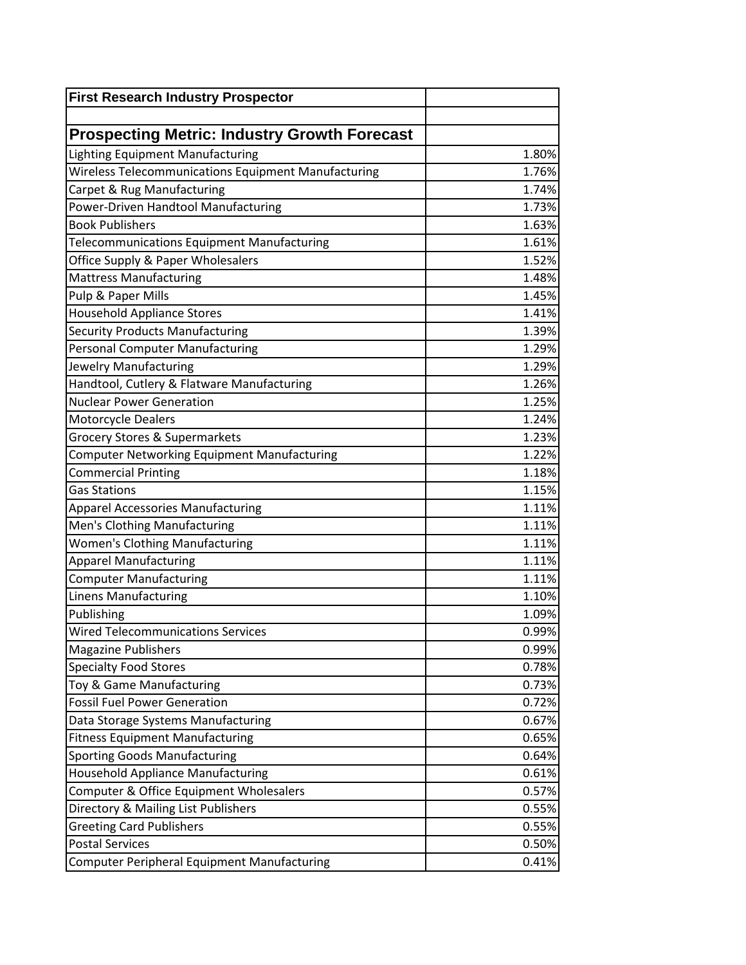| <b>First Research Industry Prospector</b>           |       |
|-----------------------------------------------------|-------|
|                                                     |       |
| <b>Prospecting Metric: Industry Growth Forecast</b> |       |
| <b>Lighting Equipment Manufacturing</b>             | 1.80% |
| Wireless Telecommunications Equipment Manufacturing | 1.76% |
| Carpet & Rug Manufacturing                          | 1.74% |
| Power-Driven Handtool Manufacturing                 | 1.73% |
| <b>Book Publishers</b>                              | 1.63% |
| <b>Telecommunications Equipment Manufacturing</b>   | 1.61% |
| Office Supply & Paper Wholesalers                   | 1.52% |
| <b>Mattress Manufacturing</b>                       | 1.48% |
| Pulp & Paper Mills                                  | 1.45% |
| <b>Household Appliance Stores</b>                   | 1.41% |
| <b>Security Products Manufacturing</b>              | 1.39% |
| <b>Personal Computer Manufacturing</b>              | 1.29% |
| Jewelry Manufacturing                               | 1.29% |
| Handtool, Cutlery & Flatware Manufacturing          | 1.26% |
| <b>Nuclear Power Generation</b>                     | 1.25% |
| Motorcycle Dealers                                  | 1.24% |
| <b>Grocery Stores &amp; Supermarkets</b>            | 1.23% |
| <b>Computer Networking Equipment Manufacturing</b>  | 1.22% |
| <b>Commercial Printing</b>                          | 1.18% |
| <b>Gas Stations</b>                                 | 1.15% |
| <b>Apparel Accessories Manufacturing</b>            | 1.11% |
| Men's Clothing Manufacturing                        | 1.11% |
| <b>Women's Clothing Manufacturing</b>               | 1.11% |
| <b>Apparel Manufacturing</b>                        | 1.11% |
| <b>Computer Manufacturing</b>                       | 1.11% |
| <b>Linens Manufacturing</b>                         | 1.10% |
| Publishing                                          | 1.09% |
| <b>Wired Telecommunications Services</b>            | 0.99% |
| <b>Magazine Publishers</b>                          | 0.99% |
| <b>Specialty Food Stores</b>                        | 0.78% |
| Toy & Game Manufacturing                            | 0.73% |
| <b>Fossil Fuel Power Generation</b>                 | 0.72% |
| Data Storage Systems Manufacturing                  | 0.67% |
| <b>Fitness Equipment Manufacturing</b>              | 0.65% |
| <b>Sporting Goods Manufacturing</b>                 | 0.64% |
| <b>Household Appliance Manufacturing</b>            | 0.61% |
| Computer & Office Equipment Wholesalers             | 0.57% |
| Directory & Mailing List Publishers                 | 0.55% |
| <b>Greeting Card Publishers</b>                     | 0.55% |
| <b>Postal Services</b>                              | 0.50% |
| <b>Computer Peripheral Equipment Manufacturing</b>  | 0.41% |